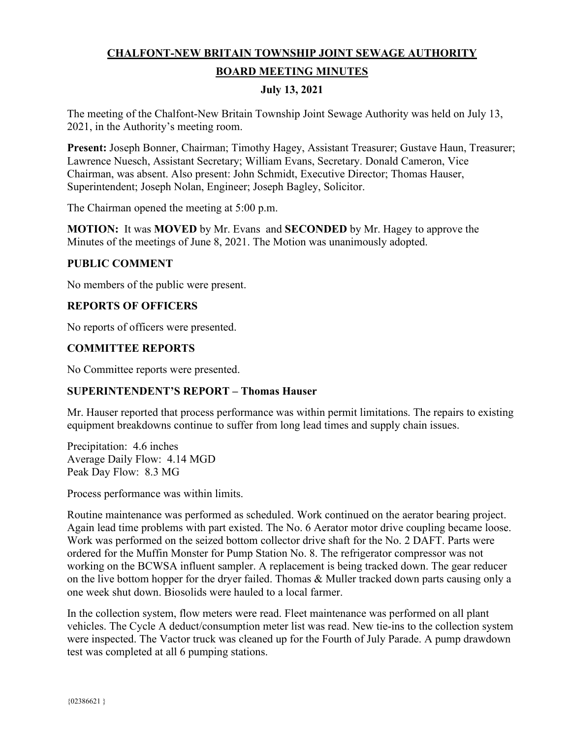# **CHALFONT-NEW BRITAIN TOWNSHIP JOINT SEWAGE AUTHORITY BOARD MEETING MINUTES**

### **July 13, 2021**

The meeting of the Chalfont-New Britain Township Joint Sewage Authority was held on July 13, 2021, in the Authority's meeting room.

**Present:** Joseph Bonner, Chairman; Timothy Hagey, Assistant Treasurer; Gustave Haun, Treasurer; Lawrence Nuesch, Assistant Secretary; William Evans, Secretary. Donald Cameron, Vice Chairman, was absent. Also present: John Schmidt, Executive Director; Thomas Hauser, Superintendent; Joseph Nolan, Engineer; Joseph Bagley, Solicitor.

The Chairman opened the meeting at 5:00 p.m.

**MOTION:** It was **MOVED** by Mr. Evans and **SECONDED** by Mr. Hagey to approve the Minutes of the meetings of June 8, 2021. The Motion was unanimously adopted.

### **PUBLIC COMMENT**

No members of the public were present.

### **REPORTS OF OFFICERS**

No reports of officers were presented.

### **COMMITTEE REPORTS**

No Committee reports were presented.

### **SUPERINTENDENT'S REPORT – Thomas Hauser**

Mr. Hauser reported that process performance was within permit limitations. The repairs to existing equipment breakdowns continue to suffer from long lead times and supply chain issues.

Precipitation: 4.6 inches Average Daily Flow: 4.14 MGD Peak Day Flow: 8.3 MG

Process performance was within limits.

Routine maintenance was performed as scheduled. Work continued on the aerator bearing project. Again lead time problems with part existed. The No. 6 Aerator motor drive coupling became loose. Work was performed on the seized bottom collector drive shaft for the No. 2 DAFT. Parts were ordered for the Muffin Monster for Pump Station No. 8. The refrigerator compressor was not working on the BCWSA influent sampler. A replacement is being tracked down. The gear reducer on the live bottom hopper for the dryer failed. Thomas & Muller tracked down parts causing only a one week shut down. Biosolids were hauled to a local farmer.

In the collection system, flow meters were read. Fleet maintenance was performed on all plant vehicles. The Cycle A deduct/consumption meter list was read. New tie-ins to the collection system were inspected. The Vactor truck was cleaned up for the Fourth of July Parade. A pump drawdown test was completed at all 6 pumping stations.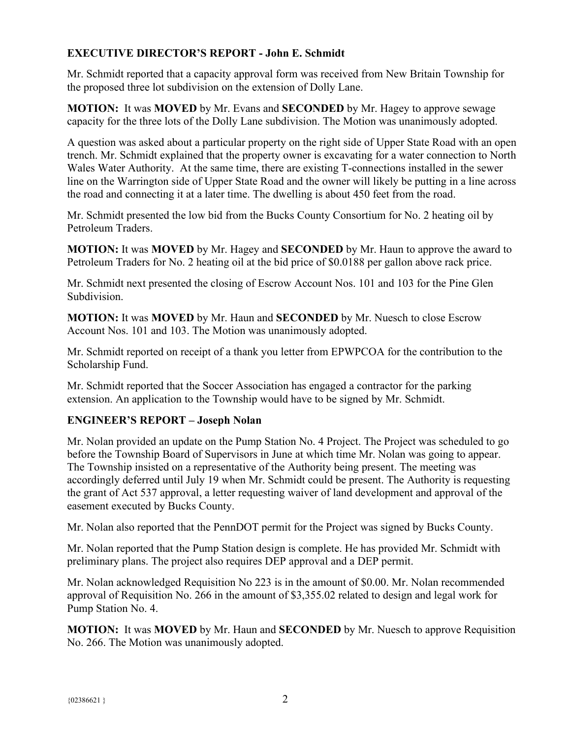# **EXECUTIVE DIRECTOR'S REPORT - John E. Schmidt**

Mr. Schmidt reported that a capacity approval form was received from New Britain Township for the proposed three lot subdivision on the extension of Dolly Lane.

**MOTION:** It was **MOVED** by Mr. Evans and **SECONDED** by Mr. Hagey to approve sewage capacity for the three lots of the Dolly Lane subdivision. The Motion was unanimously adopted.

A question was asked about a particular property on the right side of Upper State Road with an open trench. Mr. Schmidt explained that the property owner is excavating for a water connection to North Wales Water Authority. At the same time, there are existing T-connections installed in the sewer line on the Warrington side of Upper State Road and the owner will likely be putting in a line across the road and connecting it at a later time. The dwelling is about 450 feet from the road.

Mr. Schmidt presented the low bid from the Bucks County Consortium for No. 2 heating oil by Petroleum Traders.

**MOTION:** It was **MOVED** by Mr. Hagey and **SECONDED** by Mr. Haun to approve the award to Petroleum Traders for No. 2 heating oil at the bid price of \$0.0188 per gallon above rack price.

Mr. Schmidt next presented the closing of Escrow Account Nos. 101 and 103 for the Pine Glen Subdivision.

**MOTION:** It was **MOVED** by Mr. Haun and **SECONDED** by Mr. Nuesch to close Escrow Account Nos. 101 and 103. The Motion was unanimously adopted.

Mr. Schmidt reported on receipt of a thank you letter from EPWPCOA for the contribution to the Scholarship Fund.

Mr. Schmidt reported that the Soccer Association has engaged a contractor for the parking extension. An application to the Township would have to be signed by Mr. Schmidt.

# **ENGINEER'S REPORT – Joseph Nolan**

Mr. Nolan provided an update on the Pump Station No. 4 Project. The Project was scheduled to go before the Township Board of Supervisors in June at which time Mr. Nolan was going to appear. The Township insisted on a representative of the Authority being present. The meeting was accordingly deferred until July 19 when Mr. Schmidt could be present. The Authority is requesting the grant of Act 537 approval, a letter requesting waiver of land development and approval of the easement executed by Bucks County.

Mr. Nolan also reported that the PennDOT permit for the Project was signed by Bucks County.

Mr. Nolan reported that the Pump Station design is complete. He has provided Mr. Schmidt with preliminary plans. The project also requires DEP approval and a DEP permit.

Mr. Nolan acknowledged Requisition No 223 is in the amount of \$0.00. Mr. Nolan recommended approval of Requisition No. 266 in the amount of \$3,355.02 related to design and legal work for Pump Station No. 4.

**MOTION:** It was **MOVED** by Mr. Haun and **SECONDED** by Mr. Nuesch to approve Requisition No. 266. The Motion was unanimously adopted.